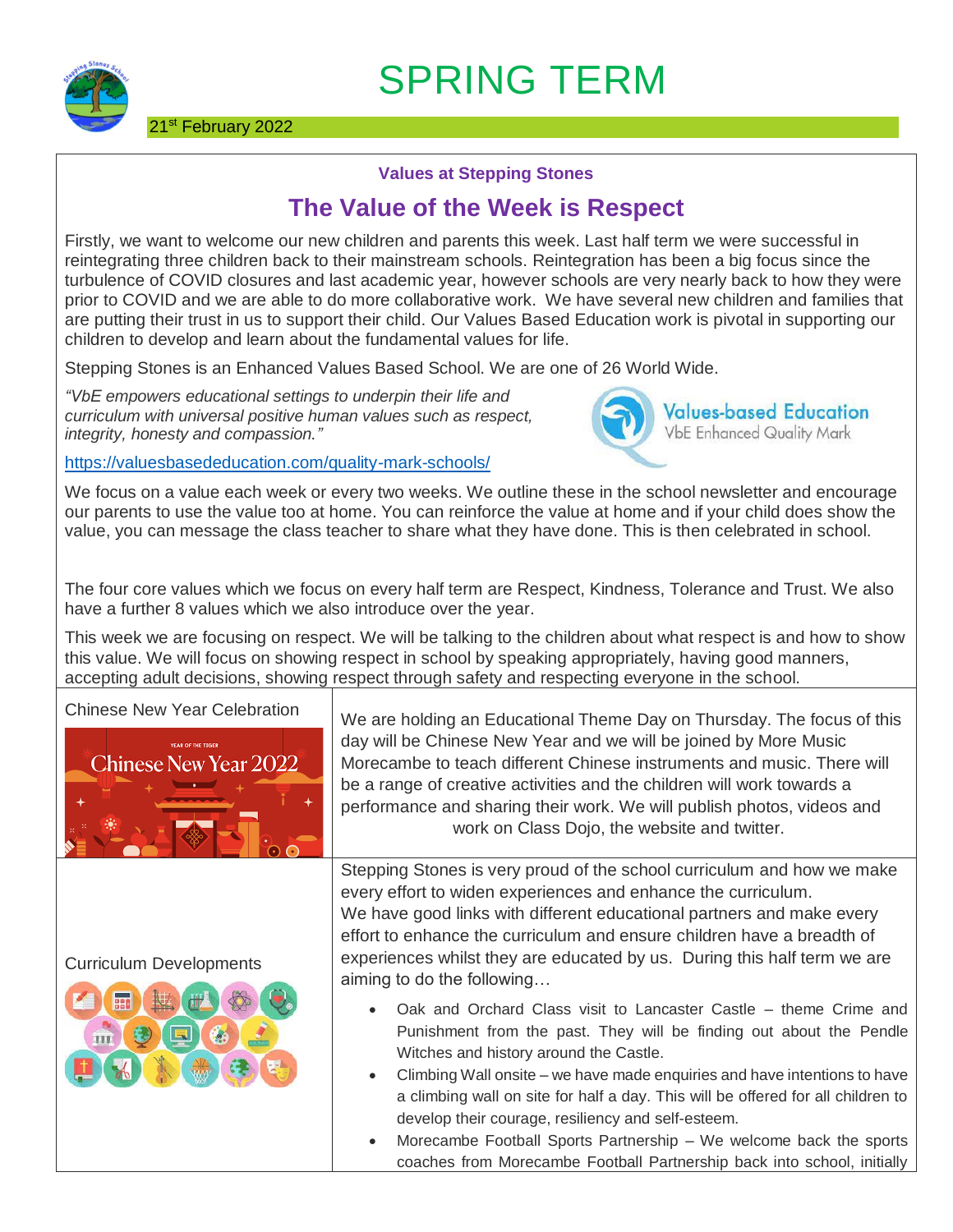

## SPRING TERM

## **Values at Stepping Stones**

## **The Value of the Week is Respect**

Firstly, we want to welcome our new children and parents this week. Last half term we were successful in reintegrating three children back to their mainstream schools. Reintegration has been a big focus since the turbulence of COVID closures and last academic year, however schools are very nearly back to how they were prior to COVID and we are able to do more collaborative work. We have several new children and families that are putting their trust in us to support their child. Our Values Based Education work is pivotal in supporting our children to develop and learn about the fundamental values for life.

Stepping Stones is an Enhanced Values Based School. We are one of 26 World Wide.

*"VbE empowers educational settings to underpin their life and curriculum with universal positive human values such as respect, integrity, honesty and compassion."*



<https://valuesbasededucation.com/quality-mark-schools/>

We focus on a value each week or every two weeks. We outline these in the school newsletter and encourage our parents to use the value too at home. You can reinforce the value at home and if your child does show the value, you can message the class teacher to share what they have done. This is then celebrated in school.

The four core values which we focus on every half term are Respect, Kindness, Tolerance and Trust. We also have a further 8 values which we also introduce over the year.

This week we are focusing on respect. We will be talking to the children about what respect is and how to show this value. We will focus on showing respect in school by speaking appropriately, having good manners, accepting adult decisions, showing respect through safety and respecting everyone in the school.



Curriculum Developments



Chinese New Year Celebration  $\bigcup_{v \in \mathcal{V}} v$  we are holding an Educational Theme Day on Thursday. The focus of this day will be Chinese New Year and we will be joined by More Music Morecambe to teach different Chinese instruments and music. There will be a range of creative activities and the children will work towards a performance and sharing their work. We will publish photos, videos and work on Class Dojo, the website and twitter.

> Stepping Stones is very proud of the school curriculum and how we make every effort to widen experiences and enhance the curriculum. We have good links with different educational partners and make every effort to enhance the curriculum and ensure children have a breadth of experiences whilst they are educated by us. During this half term we are aiming to do the following…

- Oak and Orchard Class visit to Lancaster Castle theme Crime and Punishment from the past. They will be finding out about the Pendle Witches and history around the Castle.
- Climbing Wall onsite we have made enquiries and have intentions to have a climbing wall on site for half a day. This will be offered for all children to develop their courage, resiliency and self-esteem.
- Morecambe Football Sports Partnership We welcome back the sports coaches from Morecambe Football Partnership back into school, initially